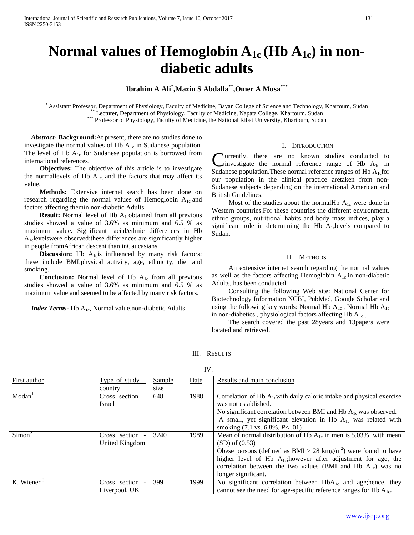# Normal values of Hemoglobin  $A_{1c}$  (Hb  $A_{1c}$ ) in non**diabetic adults**

## **Ibrahim A Ali\* ,Mazin S Abdalla\*\*,Omer A Musa\*\*\***

Assistant Professor, Department of Physiology, Faculty of Medicine, Bayan College of Science and Technology, Khartoum, Sudan<br>
\*\*\* Lecturer, Department of Physiology, Faculty of Medicine, Napata College, Khartoum, Sudan<br>
\*\*

 *Abstract***- Background:**At present, there are no studies done to investigate the normal values of Hb  $A_{1c}$  in Sudanese population. The level of Hb  $A_{1c}$  for Sudanese population is borrowed from international references.

**Objectives:** The objective of this article is to investigate the normallevels of Hb  $A_{1c}$ , and the factors that may affect its value.

 **Methods:** Extensive internet search has been done on research regarding the normal values of Hemoglobin  $A_{1c}$  and factors affecting themin non-diabetic Adults.

**Result:** Normal level of Hb A<sub>1c</sub>obtained from all previous studies showed a value of 3.6% as minimum and 6.5 % as maximum value**.** Significant racial/ethnic differences in Hb A1clevelswere observed;these differences are significantly higher in people fromAfrican descent than inCaucasians.

**Discussion:** Hb  $A_{1c}$  is influenced by many risk factors; these include BMI,physical activity, age, ethnicity, diet and smoking.

**Conclusion:** Normal level of Hb A<sub>1c</sub> from all previous studies showed a value of 3.6% as minimum and 6.5 % as maximum value and seemed to be affected by many risk factors.

*Index Terms*- Hb A<sub>1c</sub>, Normal value, non-diabetic Adults

#### I. INTRODUCTION

**Turrently, there are no known studies conducted to** investigate the normal reference range of Hb  $A_{1c}$  in **C**urrently, there are no known studies conducted to investigate the normal reference range of Hb  $A_{1c}$  in Sudanese population. These normal reference ranges of Hb  $A_{1c}$  for our population in the clinical practice aretaken from non-Sudanese subjects depending on the international American and British Guidelines.

Most of the studies about the normalHb  $A_{1c}$  were done in Western countries.For these countries the different environment, ethnic groups, nutritional habits and body mass indices, play a significant role in determining the Hb  $A<sub>1c</sub>$  levels compared to Sudan.

### II. METHODS

 An extensive internet search regarding the normal values as well as the factors affecting Hemoglobin  $A_{1c}$  in non-diabetic Adults, has been conducted.

 Consulting the following Web site: National Center for Biotechnology Information NCBI, PubMed, Google Scholar and using the following key words: Normal Hb  $A_{1c}$ , Normal Hb  $A_{1c}$ in non-diabetics , physiological factors affecting Hb  $A_{1c}$ .

 The search covered the past 28years and 13papers were located and retrieved.

III. RESULTS

| First author       | Type of study $-$ | Sample | Date | Results and main conclusion                                                  |
|--------------------|-------------------|--------|------|------------------------------------------------------------------------------|
|                    | country           | size   |      |                                                                              |
| Modan <sup>1</sup> | Cross section $-$ | 648    | 1988 | Correlation of Hb $A_{1c}$ with daily caloric intake and physical exercise   |
|                    | <b>Israel</b>     |        |      | was not established.                                                         |
|                    |                   |        |      | No significant correlation between BMI and Hb $A_{1c}$ was observed.         |
|                    |                   |        |      | A small, yet significant elevation in Hb $A_{1c}$ was related with           |
|                    |                   |        |      | smoking $(7.1 \text{ vs. } 6.8\%, P < .01)$                                  |
| Simon <sup>2</sup> | Cross section -   | 3240   | 1989 | Mean of normal distribution of Hb $A_{1c}$ in men is 5.03% with mean         |
|                    | United Kingdom    |        |      | $(SD)$ of $(0.53)$                                                           |
|                    |                   |        |      | Obese persons (defined as $BMI > 28$ kmg/m <sup>2</sup> ) were found to have |
|                    |                   |        |      | higher level of Hb $A_{1c}$ ; however after adjustment for age, the          |
|                    |                   |        |      | correlation between the two values (BMI and Hb $A_{1c}$ ) was no             |
|                    |                   |        |      | longer significant.                                                          |
| K. Wiener $3$      | Cross section -   | 399    | 1999 | No significant correlation between $HbA_{1c}$ and age; hence, they           |
|                    | Liverpool, UK     |        |      | cannot see the need for age-specific reference ranges for Hb $A_{1c}$ .      |

IV.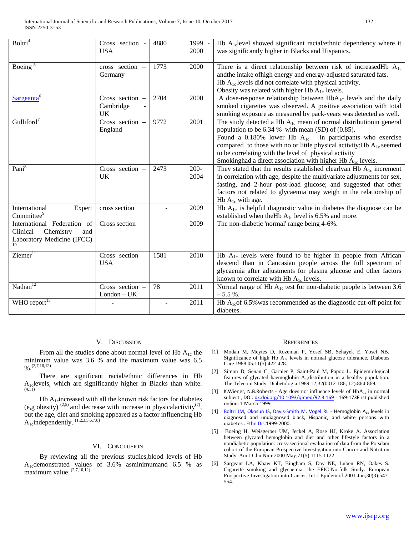| Boltri <sup>4</sup>                                                                             | Cross section -<br><b>USA</b>      | 4880 | 1999 -<br>2000  | Hb $A_{1c}$ level showed significant racial/ethnic dependency where it<br>was significantly higher in Blacks and Hispanics.                                                                                                                                                                                                                                                                                   |
|-------------------------------------------------------------------------------------------------|------------------------------------|------|-----------------|---------------------------------------------------------------------------------------------------------------------------------------------------------------------------------------------------------------------------------------------------------------------------------------------------------------------------------------------------------------------------------------------------------------|
| Boeing $5$                                                                                      | cross section -<br>Germany         | 1773 | 2000            | There is a direct relationship between risk of increased Hb $A_{1c}$<br>andthe intake ofhigh energy and energy-adjusted saturated fats.<br>Hb $A_{1c}$ levels did not correlate with physical activity.<br>Obesity was related with higher Hb $A_{1c}$ levels.                                                                                                                                                |
| Sargeanta <sup>6</sup>                                                                          | Cross section -<br>Cambridge<br>UK | 2704 | 2000            | A dose-response relationship between $HbA_{1C}$ levels and the daily<br>smoked cigarettes was observed. A positive association with total<br>smoking exposure as measured by pack-years was detected as well.                                                                                                                                                                                                 |
| Gulliford <sup>7</sup>                                                                          | Cross section -<br>England         | 9772 | 2001            | The study detected a Hb $A_{1c}$ mean of normal distribution ngeneral<br>population to be $6.34\%$ with mean (SD) of (0.85).<br>Found a 0.180% lower Hb $A_{1c}$ in participants who exercise<br>compared to those with no or little physical activity; Hb $A_{1c}$ seemed<br>to be correlating with the level of physical activity<br>Smokinghad a direct association with higher Hb A <sub>1c</sub> levels. |
| Pani <sup>8</sup>                                                                               | Cross section -<br>UK              | 2473 | $200 -$<br>2004 | They stated that the results established clearlyan Hb $A_{1c}$ increment<br>in correlation with age, despite the multivariate adjustments for sex,<br>fasting, and 2-hour post-load glucose; and suggested that other<br>factors not related to glycaemia may weigh in the relationship of<br>Hb $A_{1c}$ with age.                                                                                           |
| International<br>Expert<br>Committee <sup>9</sup>                                               | cross section                      |      | 2009            | Hb $A_{1c}$ is helpful diagnostic value in diabetes the diagnose can be<br>established when the Hb $A_{1c}$ level is 6.5% and more.                                                                                                                                                                                                                                                                           |
| International Federation of<br>Clinical<br>Chemistry<br>and<br>Laboratory Medicine (IFCC)<br>10 | Cross section                      |      | 2009            | The non-diabetic 'normal' range being 4-6%.                                                                                                                                                                                                                                                                                                                                                                   |
| Ziemer <sup>11</sup>                                                                            | Cross section -<br><b>USA</b>      | 1581 | 2010            | Hb $A_{1c}$ levels were found to be higher in people from African<br>descend than in Caucasian people across the full spectrum of<br>glycaemia after adjustments for plasma glucose and other factors<br>known to correlate with Hb $A_{1c}$ levels.                                                                                                                                                          |
| Nathan $12$                                                                                     | Cross section -<br>$London - UK$   | 78   | 2011            | Normal range of Hb A <sub>1c</sub> test for non-diabetic people is between 3.6<br>$-5.5 \%$ .                                                                                                                                                                                                                                                                                                                 |
| WHO report $^{13}$                                                                              |                                    |      | 2011            | Hb $A_{1c}$ of 6.5% was recommended as the diagnostic cut-off point for<br>diabetes.                                                                                                                                                                                                                                                                                                                          |

#### V. DISCUSSION

From all the studies done about normal level of Hb  $A_{1c}$  the minimum value was 3.6 % and the maximum value was 6.5  $\frac{9}{6}$  (2,7,10,12)

 There are significant racial/ethnic differences in Hb  $A_{1c}$  levels, which are significantly higher in Blacks than white.

Hb  $A_1$ <sub>c</sub>increased with all the known risk factors for diabetes (e,g obesity)  $^{(2,5)}$  and decrease with increase in physicalactivity<sup>(7)</sup>, but the age, diet and smoking appeared as a factor influencing Hb  $A_1$ cindependently.  $(1,2,3,5,6,7,8)$ 

#### VI. CONCLUSION

 By reviewing all the previous studies,blood levels of Hb A1cdemonstrated values of 3.6% asminimumand 6.5 % as maximum value. (2,7,10,12)

#### **REFERENCES**

- [1] Modan M, Meytes D, Rozeman P, Yosef SB, Sehayek E, Yosef NB, Significance of high Hb A1c levels in normal glucose tolerance. Diabetes Care 1988 05;11(5):422-428.
- [2] Simon D, Senan C, Garnier P, Saint-Paul M, Papoz L. Epidemiological features of glycated haemoglobin  $A_{1c}$ distribution in a healthy population. The Telecom Study. Diabetologia 1989 12;32(0012-186; 12):864-869.
- [3] K.Wiener, N.B.Roberts Age does not influence levels of  $HbA_{1c}$  in normal subject, DOI[: dx.doi.org/10.1093/qjmed/92.3.169](http://dx.doi.org/10.1093/qjmed/92.3.169) - 169-173First published online: 1 March 1999
- [4] [Boltri JM,](http://www.ncbi.nlm.nih.gov/pubmed/?term=Boltri%20JM%5BAuthor%5D&cauthor=true&cauthor_uid=16259477) [Okosun IS,](http://www.ncbi.nlm.nih.gov/pubmed/?term=Okosun%20IS%5BAuthor%5D&cauthor=true&cauthor_uid=16259477) [Davis-Smith M,](http://www.ncbi.nlm.nih.gov/pubmed/?term=Davis-Smith%20M%5BAuthor%5D&cauthor=true&cauthor_uid=16259477) [Vogel RL](http://www.ncbi.nlm.nih.gov/pubmed/?term=Vogel%20RL%5BAuthor%5D&cauthor=true&cauthor_uid=16259477) Hemoglobin A<sub>1c</sub> levels in diagnosed and undiagnosed black, Hispanic, and white persons with diabetes [. Ethn Dis.1](http://www.ncbi.nlm.nih.gov/pubmed/16259477)999-2000.
- [5] Boeing H, Weisgerber UM, Jeckel A, Rose HJ, Kroke A. Association between glycated hemoglobin and diet and other lifestyle factors in a nondiabetic population: cross-sectional evaluation of data from the Potsdam cohort of the European Prospective Investigation into Cancer and Nutrition Study. Am J Clin Nutr 2000 May;71(5):1115-1122.
- [6] Sargeant LA, Khaw KT, Bingham S, Day NE, Luben RN, Oakes S. Cigarette smoking and glycaemia: the EPIC-Norfolk Study. European Prospective Investigation into Cancer. Int J Epidemiol 2001 Jun;30(3):547- 554.